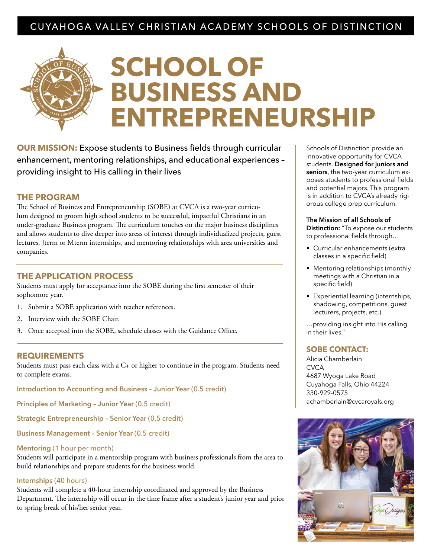# CUYAHOGA VALLEY CHRISTIAN ACADEMY SCHOOLS OF DISTINCTION

# **SCHOOL OF BUSINESS AND ENTREPRENEURSHIP**

**OUR MISSION:** Expose students to Business fields through curricular enhancement, mentoring relationships, and educational experiences – providing insight to His calling in their lives

### **THE PROGRAM**

The School of Business and Entrepreneurship (SOBE) at CVCA is a two-year curriculum designed to groom high school students to be successful, impactful Christians in an under-graduate Business program. The curriculum touches on the major business disciplines and allows students to dive deeper into areas of interest through individualized projects, guest lectures, Jterm or Mterm internships, and mentoring relationships with area universities and companies.

### **THE APPLICATION PROCESS**

Students must apply for acceptance into the SOBE during the first semester of their sophomore year.

- 1. Submit a SOBE application with teacher references.
- 2. Interview with the SOBE Chair.
- 3. Once accepted into the SOBE, schedule classes with the Guidance Office.

#### **REQUIREMENTS**

Students must pass each class with a C+ or higher to continue in the program. Students need to complete exams.

**Introduction to Accounting and Business – Junior Year** (0.5 credit)

**Principles of Marketing – Junior Year** (0.5 credit)

**Strategic Entrepreneurship – Senior Year** (0.5 credit)

**Business Management – Senior Year** (0.5 credit)

#### **Mentoring** (1 hour per month)

Students will participate in a mentorship program with business professionals from the area to build relationships and prepare students for the business world.

#### **Internships** (40 hours)

Students will complete a 40-hour internship coordinated and approved by the Business Department. The internship will occur in the time frame after a student's junior year and prior to spring break of his/her senior year.

Schools of Distinction provide an innovative opportunity for CVCA students. **Designed for juniors and seniors**, the two-year curriculum exposes students to professional fields and potential majors. This program is in addition to CVCA's already rigorous college prep curriculum.

**The Mission of all Schools of Distinction:** "To expose our students to professional fields through…

- Curricular enhancements (extra classes in a specific field)
- Mentoring relationships (monthly meetings with a Christian in a specific field)
- Experiential learning (internships, shadowing, competitions, guest lecturers, projects, etc.)

…providing insight into His calling in their lives."

# **SOBE CONTACT:**

Alicia Chamberlain **CVCA** 4687 Wyoga Lake Road Cuyahoga Falls, Ohio 44224 330-929-0575 achamberlain@cvcaroyals.org